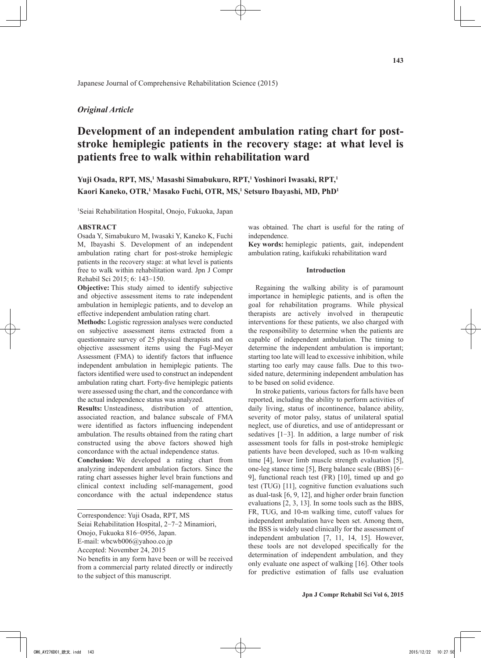## *Original Article*

# **Development of an independent ambulation rating chart for poststroke hemiplegic patients in the recovery stage: at what level is patients free to walk within rehabilitation ward**

## Yuji Osada, RPT, MS,<sup>1</sup> Masashi Simabukuro, RPT,<sup>1</sup> Yoshinori Iwasaki, RPT,<sup>1</sup> Kaori Kaneko, OTR,<sup>1</sup> Masako Fuchi, OTR, MS,<sup>1</sup> Setsuro Ibayashi, MD, PhD<sup>1</sup>

1 Seiai Rehabilitation Hospital, Onojo, Fukuoka, Japan

Japanese Journal of Comprehensive Rehabilitation Science (2015)

#### **ABSTRACT**

Osada Y, Simabukuro M, Iwasaki Y, Kaneko K, Fuchi M, Ibayashi S. Development of an independent ambulation rating chart for post-stroke hemiplegic patients in the recovery stage: at what level is patients free to walk within rehabilitation ward. Jpn J Compr Rehabil Sci 2015; 6: 143-150.

**Objective:** This study aimed to identify subjective and objective assessment items to rate independent ambulation in hemiplegic patients, and to develop an effective independent ambulation rating chart.

**Methods:** Logistic regression analyses were conducted on subjective assessment items extracted from a questionnaire survey of 25 physical therapists and on objective assessment items using the Fugl-Meyer Assessment (FMA) to identify factors that influence independent ambulation in hemiplegic patients. The factors identified were used to construct an independent ambulation rating chart. Forty-five hemiplegic patients were assessed using the chart, and the concordance with the actual independence status was analyzed.

**Results:** Unsteadiness, distribution of attention, associated reaction, and balance subscale of FMA were identified as factors influencing independent ambulation. The results obtained from the rating chart constructed using the above factors showed high concordance with the actual independence status.

**Conclusion:** We developed a rating chart from analyzing independent ambulation factors. Since the rating chart assesses higher level brain functions and clinical context including self-management, good concordance with the actual independence status

No benefits in any form have been or will be received from a commercial party related directly or indirectly to the subject of this manuscript.

was obtained. The chart is useful for the rating of independence.

**Key words:** hemiplegic patients, gait, independent ambulation rating, kaifukuki rehabilitation ward

#### **Introduction**

Regaining the walking ability is of paramount importance in hemiplegic patients, and is often the goal for rehabilitation programs. While physical therapists are actively involved in therapeutic interventions for these patients, we also charged with the responsibility to determine when the patients are capable of independent ambulation. The timing to determine the independent ambulation is important; starting too late will lead to excessive inhibition, while starting too early may cause falls. Due to this twosided nature, determining independent ambulation has to be based on solid evidence.

In stroke patients, various factors for falls have been reported, including the ability to perform activities of daily living, status of incontinence, balance ability, severity of motor palsy, status of unilateral spatial neglect, use of diuretics, and use of antidepressant or sedatives [1-3]. In addition, a large number of risk assessment tools for falls in post-stroke hemiplegic patients have been developed, such as 10-m walking time [4], lower limb muscle strength evaluation [5], one-leg stance time [5], Berg balance scale (BBS) [6- 9], functional reach test (FR) [10], timed up and go test (TUG) [11], cognitive function evaluations such as dual-task [6, 9, 12], and higher order brain function evaluations [2, 3, 13]. In some tools such as the BBS, FR, TUG, and 10-m walking time, cutoff values for independent ambulation have been set. Among them, the BSS is widely used clinically for the assessment of independent ambulation [7, 11, 14, 15]. However, these tools are not developed specifically for the determination of independent ambulation, and they only evaluate one aspect of walking [16]. Other tools for predictive estimation of falls use evaluation

Correspondence: Yuji Osada, RPT, MS

Seiai Rehabilitation Hospital, 2-7-2 Minamiori,

Onojo, Fukuoka 816-0956, Japan.

E-mail: wbcwb006@yahoo.co.jp

Accepted: November 24, 2015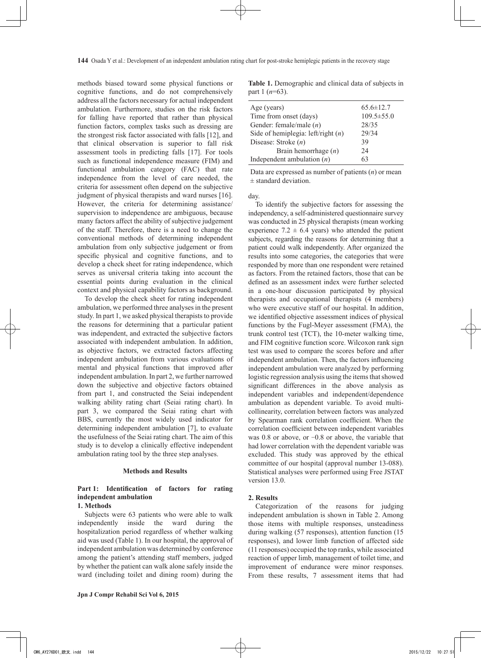methods biased toward some physical functions or cognitive functions, and do not comprehensively address all the factors necessary for actual independent ambulation. Furthermore, studies on the risk factors for falling have reported that rather than physical function factors, complex tasks such as dressing are the strongest risk factor associated with falls [12], and that clinical observation is superior to fall risk assessment tools in predicting falls [17]. For tools such as functional independence measure (FIM) and functional ambulation category (FAC) that rate independence from the level of care needed, the criteria for assessment often depend on the subjective judgment of physical therapists and ward nurses [16]. However, the criteria for determining assistance/ supervision to independence are ambiguous, because many factors affect the ability of subjective judgement of the staff. Therefore, there is a need to change the conventional methods of determining independent ambulation from only subjective judgement or from specific physical and cognitive functions, and to develop a check sheet for rating independence, which serves as universal criteria taking into account the essential points during evaluation in the clinical context and physical capability factors as background.

To develop the check sheet for rating independent ambulation, we performed three analyses in the present study. In part 1, we asked physical therapists to provide the reasons for determining that a particular patient was independent, and extracted the subjective factors associated with independent ambulation. In addition, as objective factors, we extracted factors affecting independent ambulation from various evaluations of mental and physical functions that improved after independent ambulation. In part 2, we further narrowed down the subjective and objective factors obtained from part 1, and constructed the Seiai independent walking ability rating chart (Seiai rating chart). In part 3, we compared the Seiai rating chart with BBS, currently the most widely used indicator for determining independent ambulation [7], to evaluate the usefulness of the Seiai rating chart. The aim of this study is to develop a clinically effective independent ambulation rating tool by the three step analyses.

### **Methods and Results**

## **Part 1: Identification of factors for rating independent ambulation**

#### **1. Methods**

Subjects were 63 patients who were able to walk independently inside the ward during the hospitalization period regardless of whether walking aid was used (Table 1). In our hospital, the approval of independent ambulation was determined by conference among the patient's attending staff members, judged by whether the patient can walk alone safely inside the ward (including toilet and dining room) during the

**Table 1.** Demographic and clinical data of subjects in part 1 (*n*=63).

| Age (years)                          | $65.6 \pm 12.7$  |
|--------------------------------------|------------------|
| Time from onset (days)               | $109.5 \pm 55.0$ |
| Gender: female/male $(n)$            | 28/35            |
| Side of hemiplegia: left/right $(n)$ | 29/34            |
| Disease: Stroke $(n)$                | 39               |
| Brain hemorrhage $(n)$               | 24               |
| Independent ambulation $(n)$         | 63               |
|                                      |                  |

Data are expressed as number of patients (*n*) or mean ± standard deviation.

day.

To identify the subjective factors for assessing the independency, a self-administered questionnaire survey was conducted in 25 physical therapists (mean working experience  $7.2 \pm 6.4$  years) who attended the patient subjects, regarding the reasons for determining that a patient could walk independently. After organized the results into some categories, the categories that were responded by more than one respondent were retained as factors. From the retained factors, those that can be defined as an assessment index were further selected in a one-hour discussion participated by physical therapists and occupational therapists (4 members) who were executive staff of our hospital. In addition, we identified objective assessment indices of physical functions by the Fugl-Meyer assessment (FMA), the trunk control test (TCT), the 10-meter walking time, and FIM cognitive function score. Wilcoxon rank sign test was used to compare the scores before and after independent ambulation. Then, the factors influencing independent ambulation were analyzed by performing logistic regression analysis using the items that showed significant differences in the above analysis as independent variables and independent/dependence ambulation as dependent variable. To avoid multicollinearity, correlation between factors was analyzed by Spearman rank correlation coefficient. When the correlation coefficient between independent variables was  $0.8$  or above, or  $-0.8$  or above, the variable that had lower correlation with the dependent variable was excluded. This study was approved by the ethical committee of our hospital (approval number 13-088). Statistical analyses were performed using Free JSTAT version 13.0.

#### **2. Results**

Categorization of the reasons for judging independent ambulation is shown in Table 2. Among those items with multiple responses, unsteadiness during walking (57 responses), attention function (15 responses), and lower limb function of affected side (11 responses) occupied the top ranks, while associated reaction of upper limb, management of toilet time, and improvement of endurance were minor responses. From these results, 7 assessment items that had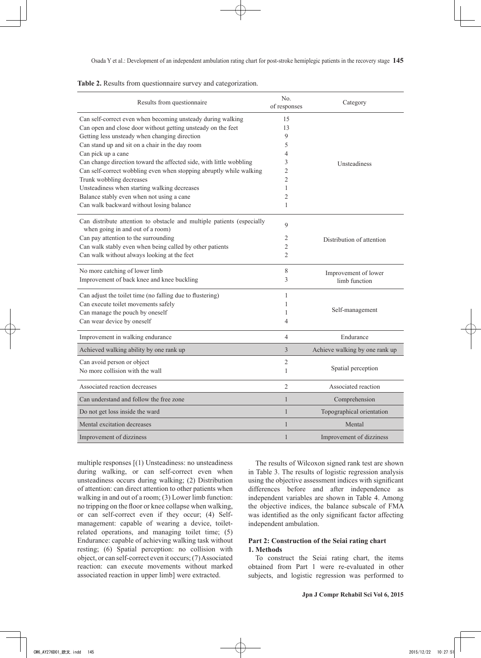| Results from questionnaire                                                                                 | No.<br>of responses | Category                       |
|------------------------------------------------------------------------------------------------------------|---------------------|--------------------------------|
| Can self-correct even when becoming unsteady during walking                                                | 15                  |                                |
| Can open and close door without getting unsteady on the feet                                               | 13                  |                                |
| Getting less unsteady when changing direction                                                              | 9                   |                                |
| Can stand up and sit on a chair in the day room                                                            | 5                   |                                |
| Can pick up a cane                                                                                         | 4                   |                                |
| Can change direction toward the affected side, with little wobbling                                        | 3                   | Unsteadiness                   |
| Can self-correct wobbling even when stopping abruptly while walking                                        | $\overline{2}$      |                                |
| Trunk wobbling decreases                                                                                   | $\overline{2}$      |                                |
| Unsteadiness when starting walking decreases                                                               | $\mathbf{1}$        |                                |
| Balance stably even when not using a cane                                                                  | $\overline{2}$      |                                |
| Can walk backward without losing balance                                                                   | 1                   |                                |
| Can distribute attention to obstacle and multiple patients (especially<br>when going in and out of a room) | 9                   |                                |
| Can pay attention to the surrounding                                                                       | 2                   | Distribution of attention      |
| Can walk stably even when being called by other patients                                                   | $\overline{2}$      |                                |
| Can walk without always looking at the feet                                                                | $\overline{2}$      |                                |
| No more catching of lower limb                                                                             | 8                   | Improvement of lower           |
| Improvement of back knee and knee buckling                                                                 | 3                   | limb function                  |
| Can adjust the toilet time (no falling due to flustering)                                                  | $\mathbf{1}$        |                                |
| Can execute toilet movements safely                                                                        | 1                   |                                |
| Can manage the pouch by oneself                                                                            | 1                   | Self-management                |
| Can wear device by oneself                                                                                 | 4                   |                                |
| Improvement in walking endurance                                                                           | $\overline{4}$      | Endurance                      |
| Achieved walking ability by one rank up                                                                    | 3                   | Achieve walking by one rank up |
| Can avoid person or object                                                                                 | $\overline{2}$      |                                |
| No more collision with the wall                                                                            | $\mathbf{1}$        | Spatial perception             |
| Associated reaction decreases                                                                              | $\overline{2}$      | Associated reaction            |
| Can understand and follow the free zone                                                                    | $\mathbf{1}$        | Comprehension                  |
| Do not get loss inside the ward                                                                            | $\mathbf{1}$        | Topographical orientation      |
| Mental excitation decreases                                                                                | $\mathbf{1}$        | Mental                         |
| Improvement of dizziness                                                                                   | $\mathbf{1}$        | Improvement of dizziness       |

|  |  |  |  |  |  |  | <b>Table 2.</b> Results from question aire survey and categorization. |
|--|--|--|--|--|--|--|-----------------------------------------------------------------------|
|--|--|--|--|--|--|--|-----------------------------------------------------------------------|

multiple responses [(1) Unsteadiness: no unsteadiness during walking, or can self-correct even when unsteadiness occurs during walking; (2) Distribution of attention: can direct attention to other patients when walking in and out of a room; (3) Lower limb function: no tripping on the floor or knee collapse when walking, or can self-correct even if they occur; (4) Selfmanagement: capable of wearing a device, toiletrelated operations, and managing toilet time; (5) Endurance: capable of achieving walking task without resting; (6) Spatial perception: no collision with object, or can self-correct even it occurs; (7) Associated reaction: can execute movements without marked associated reaction in upper limb] were extracted.

The results of Wilcoxon signed rank test are shown in Table 3. The results of logistic regression analysis using the objective assessment indices with significant differences before and after independence as independent variables are shown in Table 4. Among the objective indices, the balance subscale of FMA was identified as the only significant factor affecting independent ambulation.

## **Part 2: Construction of the Seiai rating chart 1. Methods**

To construct the Seiai rating chart, the items obtained from Part 1 were re-evaluated in other subjects, and logistic regression was performed to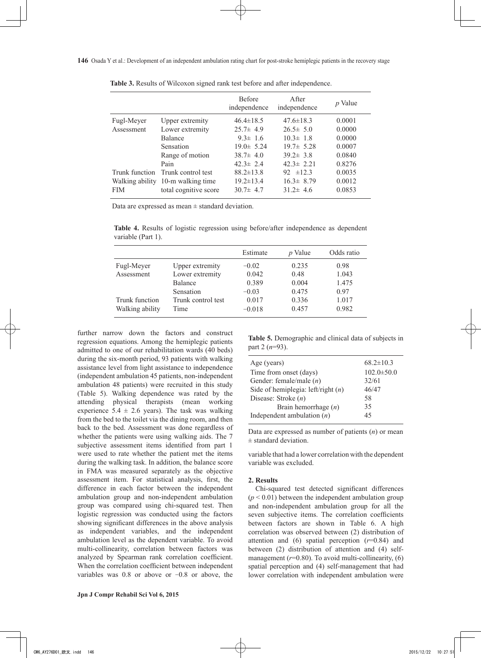|            |                                   | <b>Before</b><br>independence | <b>A</b> fter<br>independence | <i>p</i> Value |
|------------|-----------------------------------|-------------------------------|-------------------------------|----------------|
| Fugl-Meyer | Upper extremity                   | $46.4 \pm 18.5$               | $47.6 \pm 18.3$               | 0.0001         |
| Assessment | Lower extremity                   | $25.7 \pm 4.9$                | $26.5 \pm 5.0$                | 0.0000         |
|            | Balance                           | $9.3 \pm 1.6$                 | $10.3 \pm 1.8$                | 0.0000         |
|            | Sensation                         | $19.0 \pm 5.24$               | $19.7 \pm 5.28$               | 0.0007         |
|            | Range of motion                   | $38.7 \pm 4.0$                | $39.2 \pm 3.8$                | 0.0840         |
|            | Pain                              | $423 \pm 24$                  | $42.3 \pm 2.21$               | 0.8276         |
| <b>FIM</b> | Trunk function Trunk control test | $88.2 \pm 13.8$               | 92 $\pm 12.3$                 | 0.0035         |
|            | Walking ability 10-m walking time | $19.2 \pm 13.4$               | $16.3 \pm 8.79$               | 0.0012         |
|            | total cognitive score             | $30.7 \pm 4.7$                | $31.2 \pm 4.6$                | 0.0853         |

**Table 3.** Results of Wilcoxon signed rank test before and after independence.

Data are expressed as mean  $\pm$  standard deviation.

**Table 4.** Results of logistic regression using before/after independence as dependent variable (Part 1).

|                 |                    | Estimate | <i>p</i> Value | Odds ratio |
|-----------------|--------------------|----------|----------------|------------|
| Fugl-Meyer      | Upper extremity    | $-0.02$  | 0.235          | 0.98       |
| Assessment      | Lower extremity    | 0.042    | 0.48           | 1.043      |
|                 | Balance            | 0.389    | 0.004          | 1.475      |
|                 | Sensation          | $-0.03$  | 0.475          | 0.97       |
| Trunk function  | Trunk control test | 0.017    | 0.336          | 1.017      |
| Walking ability | Time               | $-0.018$ | 0.457          | 0.982      |

further narrow down the factors and construct regression equations. Among the hemiplegic patients admitted to one of our rehabilitation wards (40 beds) during the six-month period, 93 patients with walking assistance level from light assistance to independence (independent ambulation 45 patients, non-independent ambulation 48 patients) were recruited in this study (Table 5). Walking dependence was rated by the attending physical therapists (mean working experience  $5.4 \pm 2.6$  years). The task was walking from the bed to the toilet via the dining room, and then back to the bed. Assessment was done regardless of whether the patients were using walking aids. The 7 subjective assessment items identified from part 1 were used to rate whether the patient met the items during the walking task. In addition, the balance score in FMA was measured separately as the objective assessment item. For statistical analysis, first, the difference in each factor between the independent ambulation group and non-independent ambulation group was compared using chi-squared test. Then logistic regression was conducted using the factors showing significant differences in the above analysis as independent variables, and the independent ambulation level as the dependent variable. To avoid multi-collinearity, correlation between factors was analyzed by Spearman rank correlation coefficient. When the correlation coefficient between independent variables was  $0.8$  or above or  $-0.8$  or above, the

**Table 5.** Demographic and clinical data of subjects in part 2 (*n*=93).

| Age (years)                          | $68.2 \pm 10.3$  |
|--------------------------------------|------------------|
| Time from onset (days)               | $102.0 \pm 50.0$ |
| Gender: female/male $(n)$            | 32/61            |
| Side of hemiplegia: left/right $(n)$ | 46/47            |
| Disease: Stroke $(n)$                | 58               |
| Brain hemorrhage $(n)$               | 35               |
| Independent ambulation $(n)$         | 45               |

Data are expressed as number of patients (*n*) or mean  $±$  standard deviation.

variable that had a lower correlation with the dependent variable was excluded.

### **2. Results**

Chi-squared test detected significant differences  $(p < 0.01)$  between the independent ambulation group and non-independent ambulation group for all the seven subjective items. The correlation coefficients between factors are shown in Table 6. A high correlation was observed between (2) distribution of attention and  $(6)$  spatial perception  $(r=0.84)$  and between (2) distribution of attention and (4) selfmanagement  $(r=0.80)$ . To avoid multi-collinearity,  $(6)$ spatial perception and (4) self-management that had lower correlation with independent ambulation were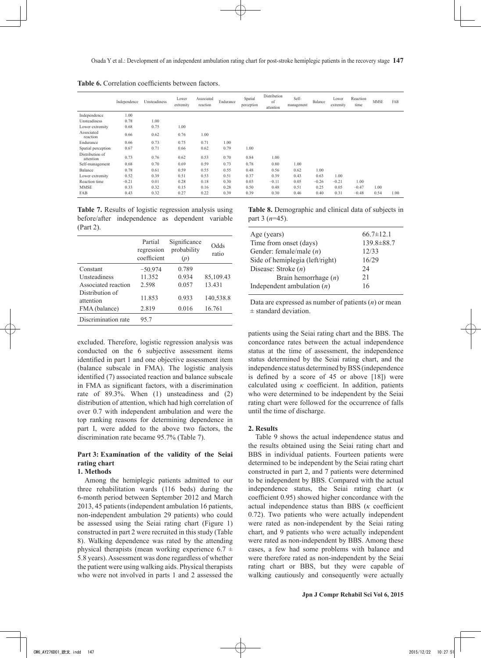**Table 6.** Correlation coefficients between factors.

|                              | Independence | Unsteadiness | Lower<br>extremity | Associated<br>reaction | Endurance | Spatial<br>perception | Distribution<br>of<br>attention | Self-<br>management | Balance | Lower<br>extremity | Reaction<br>time | <b>MMSE</b> | FAB  |
|------------------------------|--------------|--------------|--------------------|------------------------|-----------|-----------------------|---------------------------------|---------------------|---------|--------------------|------------------|-------------|------|
| Independence                 | 1.00         |              |                    |                        |           |                       |                                 |                     |         |                    |                  |             |      |
| Unsteadiness                 | 0.78         | 1.00         |                    |                        |           |                       |                                 |                     |         |                    |                  |             |      |
| Lower extremity              | 0.68         | 0.75         | 1.00               |                        |           |                       |                                 |                     |         |                    |                  |             |      |
| Associated<br>reaction       | 0.66         | 0.62         | 0.76               | 1.00                   |           |                       |                                 |                     |         |                    |                  |             |      |
| Endurance                    | 0.66         | 0.73         | 0.75               | 0.71                   | 1.00      |                       |                                 |                     |         |                    |                  |             |      |
| Spatial perception           | 0.67         | 0.71         | 0.66               | 0.62                   | 0.79      | 1.00                  |                                 |                     |         |                    |                  |             |      |
| Distribution of<br>attention | 0.73         | 0.76         | 0.62               | 0.53                   | 0.70      | 0.84                  | 1.00                            |                     |         |                    |                  |             |      |
| Self-management              | 0.68         | 0.70         | 0.69               | 0.59                   | 0.73      | 0.78                  | 0.80                            | 1.00                |         |                    |                  |             |      |
| Balance                      | 0.78         | 0.61         | 0.59               | 0.55                   | 0.55      | 0.48                  | 0.56                            | 0.62                | 1.00    |                    |                  |             |      |
| Lower extremity              | 0.52         | 0.39         | 0.51               | 0.53                   | 0.51      | 0.37                  | 0.39                            | 0.43                | 0.63    | 1.00               |                  |             |      |
| Reaction time                | $-0.21$      | 0.01         | 0.28               | 0.18                   | 0.30      | 0.03                  | $-0.11$                         | 0.05                | $-0.26$ | $-0.21$            | 1.00             |             |      |
| <b>MMSE</b>                  | 0.33         | 0.32         | 0.15               | 0.16                   | 0.28      | 0.50                  | 0.48                            | 0.51                | 0.25    | 0.05               | $-0.47$          | 1.00        |      |
| FAB                          | 0.43         | 0.32         | 0.27               | 0.22                   | 0.39      | 0.39                  | 0.30                            | 0.46                | 0.40    | 0.31               | $-0.48$          | 0.54        | 1.00 |

**Table 7.** Results of logistic regression analysis using before/after independence as dependent variable (Part 2).

|                              | Partial<br>regression<br>coefficient | Significance<br>probability<br>(p) | Odds<br>ratio |
|------------------------------|--------------------------------------|------------------------------------|---------------|
| Constant                     | $-50.974$                            | 0.789                              |               |
| <b>Unsteadiness</b>          | 11.352                               | 0.934                              | 85,109.43     |
| Associated reaction          | 2.598                                | 0.057                              | 13.431        |
| Distribution of<br>attention | 11.853                               | 0.933                              | 140,538.8     |
| FMA (balance)                | 2.819                                | 0.016                              | 16.761        |
| Discrimination rate          | 95.7                                 |                                    |               |

excluded. Therefore, logistic regression analysis was conducted on the 6 subjective assessment items identified in part 1 and one objective assessment item (balance subscale in FMA). The logistic analysis identified (7) associated reaction and balance subscale in FMA as significant factors, with a discrimination rate of 89.3%. When (1) unsteadiness and (2) distribution of attention, which had high correlation of over 0.7 with independent ambulation and were the top ranking reasons for determining dependence in part I, were added to the above two factors, the discrimination rate became 95.7% (Table 7).

## **Part 3: Examination of the validity of the Seiai rating chart**

## **1. Methods**

Among the hemiplegic patients admitted to our three rehabilitation wards (116 beds) during the 6-month period between September 2012 and March 2013, 45 patients (independent ambulation 16 patients, non-independent ambulation 29 patients) who could be assessed using the Seiai rating chart (Figure 1) constructed in part 2 were recruited in this study (Table 8). Walking dependence was rated by the attending physical therapists (mean working experience  $6.7 \pm$ 5.8 years). Assessment was done regardless of whether the patient were using walking aids. Physical therapists who were not involved in parts 1 and 2 assessed the **Table 8.** Demographic and clinical data of subjects in part 3 (*n*=45).

| Age (years)                     | $66.7 \pm 12.1$ |
|---------------------------------|-----------------|
| Time from onset (days)          | 139.8±88.7      |
| Gender: female/male $(n)$       | 12/33           |
| Side of hemiplegia (left/right) | 16/29           |
| Disease: Stroke $(n)$           | 24              |
| Brain hemorrhage $(n)$          | 21              |
| Independent ambulation $(n)$    | 16              |

Data are expressed as number of patients (*n*) or mean  $\pm$  standard deviation.

patients using the Seiai rating chart and the BBS. The concordance rates between the actual independence status at the time of assessment, the independence status determined by the Seiai rating chart, and the independence status determined by BSS (independence is defined by a score of 45 or above [18]) were calculated using *κ* coefficient. In addition, patients who were determined to be independent by the Seiai rating chart were followed for the occurrence of falls until the time of discharge.

#### **2. Results**

Table 9 shows the actual independence status and the results obtained using the Seiai rating chart and BBS in individual patients. Fourteen patients were determined to be independent by the Seiai rating chart constructed in part 2, and 7 patients were determined to be independent by BBS. Compared with the actual independence status, the Seiai rating chart (*κ* coefficient 0.95) showed higher concordance with the actual independence status than BBS (*κ* coefficient 0.72). Two patients who were actually independent were rated as non-independent by the Seiai rating chart, and 9 patients who were actually independent were rated as non-independent by BBS. Among these cases, a few had some problems with balance and were therefore rated as non-independent by the Seiai rating chart or BBS, but they were capable of walking cautiously and consequently were actually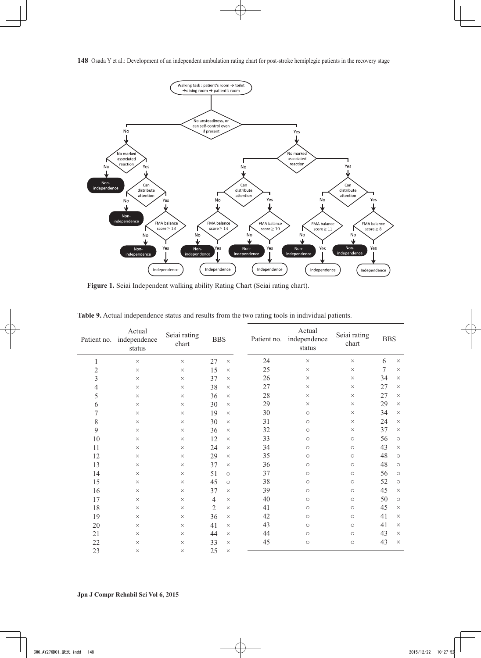

**Figure 1.** Seiai Independent walking ability Rating Chart (Seiai rating chart).

| Patient no.      | Actual<br>independence<br>status | Seiai rating<br>chart | <b>BBS</b>     |          |    |                     |                     |        | Patient no.         | Actual<br>independence<br>status | Seiai rating<br>chart | <b>BBS</b> |  |
|------------------|----------------------------------|-----------------------|----------------|----------|----|---------------------|---------------------|--------|---------------------|----------------------------------|-----------------------|------------|--|
| $\mathbf{1}$     | $\times$                         | $\times$              | 27             | $\times$ | 24 | $\times$            | $\times$            | 6      | $\times$            |                                  |                       |            |  |
| $\overline{c}$   | $\times$                         | $\times$              | 15             | $\times$ | 25 | $\times$            | $\times$            | $\tau$ | $\times$            |                                  |                       |            |  |
| $\mathfrak{Z}$   | $\times$                         | $\times$              | 37             | $\times$ | 26 | $\times$            | $\times$            | 34     | $\times$            |                                  |                       |            |  |
| $\overline{4}$   | $\times$                         | $\times$              | 38             | $\times$ | 27 | $\times$            | $\times$            | 27     | $\times$            |                                  |                       |            |  |
| 5                | $\times$                         | $\times$              | 36             | $\times$ | 28 | $\times$            | $\times$            | 27     | $\times$            |                                  |                       |            |  |
| 6                | $\times$                         | $\times$              | 30             | $\times$ | 29 | $\times$            | $\times$            | 29     | $\times$            |                                  |                       |            |  |
| $\boldsymbol{7}$ | $\times$                         | $\times$              | 19             | $\times$ | 30 | $\circ$             | $\times$            | 34     | $\times$            |                                  |                       |            |  |
| 8                | $\times$                         | $\times$              | 30             | $\times$ | 31 | $\circlearrowright$ | $\times$            | 24     | $\times$            |                                  |                       |            |  |
| 9                | $\times$                         | $\times$              | 36             | $\times$ | 32 | $\circ$             | $\times$            | 37     | $\times$            |                                  |                       |            |  |
| 10               | $\times$                         | $\times$              | 12             | $\times$ | 33 | $\circ$             | $\circlearrowright$ | 56     | $\circ$             |                                  |                       |            |  |
| 11               | $\times$                         | $\times$              | 24             | $\times$ | 34 | $\circ$             | $\circ$             | 43     | $\times$            |                                  |                       |            |  |
| 12               | $\times$                         | $\times$              | 29             | $\times$ | 35 | $\circlearrowright$ | $\bigcirc$          | 48     | $\circlearrowright$ |                                  |                       |            |  |
| 13               | $\times$                         | $\times$              | 37             | $\times$ | 36 | $\circ$             | $\circ$             | 48     | $\circ$             |                                  |                       |            |  |
| 14               | $\times$                         | $\times$              | 51             | $\circ$  | 37 | $\circ$             | $\bigcirc$          | 56     | $\circ$             |                                  |                       |            |  |
| 15               | $\times$                         | $\times$              | 45             | $\circ$  | 38 | $\circ$             | $\circ$             | 52     | $\circ$             |                                  |                       |            |  |
| 16               | $\times$                         | $\times$              | 37             | $\times$ | 39 | $\circlearrowright$ | $\bigcirc$          | 45     | $\times$            |                                  |                       |            |  |
| 17               | $\times$                         | $\times$              | $\overline{4}$ | $\times$ | 40 | $\circlearrowright$ | $\bigcirc$          | 50     | $\circlearrowright$ |                                  |                       |            |  |
| 18               | $\times$                         | $\times$              | $\overline{2}$ | $\times$ | 41 | $\circ$             | $\circ$             | 45     | $\times$            |                                  |                       |            |  |
| 19               | $\times$                         | $\times$              | 36             | $\times$ | 42 | $\circ$             | $\circlearrowright$ | 41     | $\times$            |                                  |                       |            |  |
| 20               | $\times$                         | $\times$              | 41             | $\times$ | 43 | $\circ$             | $\circ$             | 41     | $\times$            |                                  |                       |            |  |
| 21               | $\times$                         | $\times$              | 44             | $\times$ | 44 | $\circlearrowright$ | $\bigcirc$          | 43     | $\times$            |                                  |                       |            |  |
| 22               | $\times$                         | $\times$              | 33             | $\times$ | 45 | $\circlearrowright$ | $\circ$             | 43     | $\times$            |                                  |                       |            |  |
| 23               | $\times$                         | $\times$              | 25             | $\times$ |    |                     |                     |        |                     |                                  |                       |            |  |

**Table 9.** Actual independence status and results from the two rating tools in individual patients.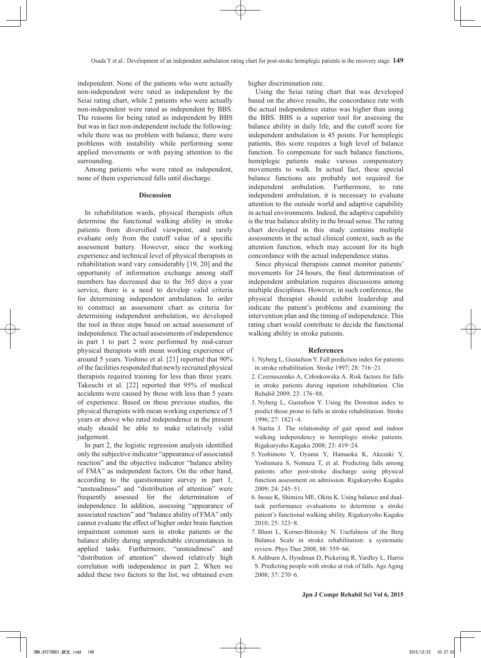independent. None of the patients who were actually non-independent were rated as independent by the Seiai rating chart, while 2 patients who were actually non-independent were rated as independent by BBS. The reasons for being rated as independent by BBS but was in fact non-independent include the following: while there was no problem with balance, there were problems with instability while performing some applied movements or with paying attention to the surrounding.

Among patients who were rated as independent, none of them experienced falls until discharge.

#### **Discussion**

In rehabilitation wards, physical therapists often determine the functional walking ability in stroke patients from diversified viewpoint, and rarely evaluate only from the cutoff value of a specific assessment battery. However, since the working experience and technical level of physical therapists in rehabilitation ward vary considerably [19, 20] and the opportunity of information exchange among staff members has decreased due to the 365 days a year service, there is a need to develop valid criteria for determining independent ambulation. In order to construct an assessment chart as criteria for determining independent ambulation, we developed the tool in three steps based on actual assessment of independence. The actual assessments of independence in part 1 to part 2 were performed by mid-career physical therapists with mean working experience of around 5 years. Yoshino et al. [21] reported that 90% of the facilities responded that newly recruited physical therapists required training for less than three years. Takeuchi et al. [22] reported that 95% of medical accidents were caused by those with less than 5 years of experience. Based on these previous studies, the physical therapists with mean working experience of 5 years or above who rated independence in the present study should be able to make relatively valid judgement.

In part 2, the logistic regression analysis identified only the subjective indicator "appearance of associated reaction" and the objective indicator "balance ability of FMA" as independent factors. On the other hand, according to the questionnaire survey in part 1, "unsteadiness" and "distribution of attention" were frequently assessed for the determination of independence. In addition, assessing "appearance of associated reaction" and "balance ability of FMA" only cannot evaluate the effect of higher order brain function impairment common seen in stroke patients or the balance ability during unpredictable circumstances in applied tasks. Furthermore, "unsteadiness" and "distribution of attention" showed relatively high correlation with independence in part 2. When we added these two factors to the list, we obtained even

higher discrimination rate.

Using the Seiai rating chart that was developed based on the above results, the concordance rate with the actual independence status was higher than using the BBS. BBS is a superior tool for assessing the balance ability in daily life, and the cutoff score for independent ambulation is 45 points. For hemiplegic patients, this score requires a high level of balance function. To compensate for such balance functions, hemiplegic patients make various compensatory movements to walk. In actual fact, these special balance functions are probably not required for independent ambulation. Furthermore, to rate independent ambulation, it is necessary to evaluate attention to the outside world and adaptive capability in actual environments. Indeed, the adaptive capability is the true balance ability in the broad sense. The rating chart developed in this study contains multiple assessments in the actual clinical context, such as the attention function, which may account for its high concordance with the actual independence status.

Since physical therapists cannot monitor patients' movements for 24 hours, the final determination of independent ambulation requires discussions among multiple disciplines. However, in such conference, the physical therapist should exhibit leadership and indicate the patient's problems and examining the intervention plan and the timing of independence. This rating chart would contribute to decide the functional walking ability in stroke patients.

#### **References**

- 1. Nyberg L, Gustafson Y. Fall prediction index for patients in stroke rehabilitation. Stroke 1997; 28: 716-21.
- 2. Czernuszenko A, Członkowska A. Risk factors for falls in stroke patients during inpatient rehabilitation. Clin Rehabil 2009; 23: 176-88.
- 3. Nyberg L, Gustafson Y. Using the Downton index to predict those prone to falls in stroke rehabilitation. Stroke 1996; 27: 1821-4.
- 4. Narita J. The relationship of gait speed and indoor walking independency in hemiplegic stroke patients. Rigakuryoho Kagaku 2008; 23: 419-24.
- 5. Yoshimoto Y, Oyama Y, Hamaoka K, Akezaki Y, Yoshimura S, Nomura T, et al. Predicting falls among patients after post-stroke discharge using physical function assessment on admission. Rigakuryoho Kagaku 2009; 24: 245-51.
- 6. Inoue K, Shimizu ME, Okita K. Using balance and dualtask performance evaluations to determine a stroke patient's functional walking ability. Rigakuryoho Kagaku 2010; 25: 323-8.
- 7. Blum L, Korner-Bitensky N. Usefulness of the Berg Balance Scale in stroke rehabilitation: a systematic review. Phys Ther 2008; 88: 559-66.
- 8. Ashburn A, Hyndman D, Pickering R, Yardley L, Harris S. Predicting people with stroke at risk of falls. Age Aging 2008; 37: 270-6.